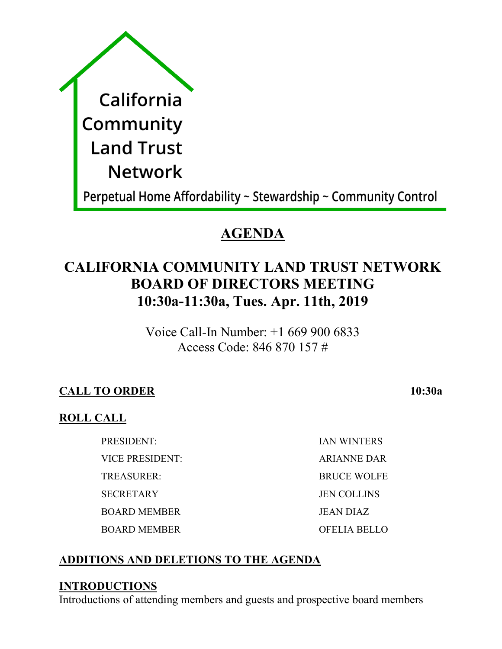| California                                                     |
|----------------------------------------------------------------|
| Community                                                      |
| <b>Land Trust</b>                                              |
| <b>Network</b>                                                 |
| Perpetual Home Affordability ~ Stewardship ~ Community Control |

# **AGENDA**

# **CALIFORNIA COMMUNITY LAND TRUST NETWORK BOARD OF DIRECTORS MEETING 10:30a-11:30a, Tues. Apr. 11th, 2019**

Voice Call-In Number: +1 669 900 6833 Access Code: 846 870 157 #

## **CALL TO ORDER 10:30a**

## **ROLL CALL**

PRESIDENT: IAN WINTERS VICE PRESIDENT: ARIANNE DAR TREASURER: BRUCE WOLFE SECRETARY JEN COLLINS BOARD MEMBER JEAN DIAZ BOARD MEMBER OFELIA BELLO

# **ADDITIONS AND DELETIONS TO THE AGENDA**

## **INTRODUCTIONS**

Introductions of attending members and guests and prospective board members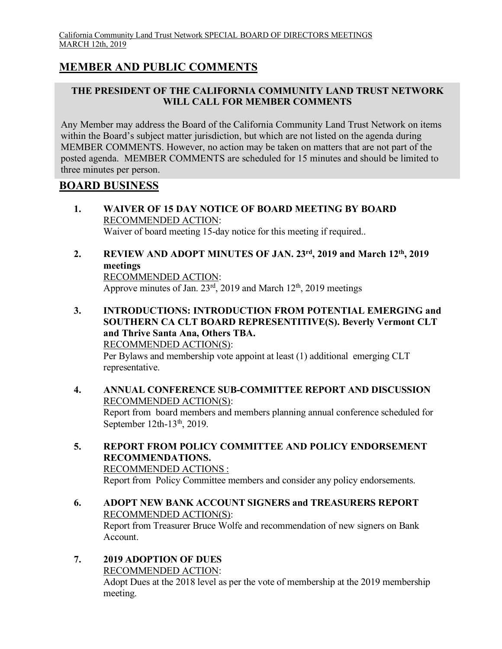### **MEMBER AND PUBLIC COMMENTS**

#### **THE PRESIDENT OF THE CALIFORNIA COMMUNITY LAND TRUST NETWORK WILL CALL FOR MEMBER COMMENTS**

Any Member may address the Board of the California Community Land Trust Network on items within the Board's subject matter jurisdiction, but which are not listed on the agenda during MEMBER COMMENTS. However, no action may be taken on matters that are not part of the posted agenda. MEMBER COMMENTS are scheduled for 15 minutes and should be limited to three minutes per person.

#### **BOARD BUSINESS**

- **1. WAIVER OF 15 DAY NOTICE OF BOARD MEETING BY BOARD**  RECOMMENDED ACTION: Waiver of board meeting 15-day notice for this meeting if required..
- **2. REVIEW AND ADOPT MINUTES OF JAN. 23rd, 2019 and March 12th, 2019 meetings** RECOMMENDED ACTION:

Approve minutes of Jan. 23<sup>rd</sup>, 2019 and March 12<sup>th</sup>, 2019 meetings

**3. INTRODUCTIONS: INTRODUCTION FROM POTENTIAL EMERGING and SOUTHERN CA CLT BOARD REPRESENTITIVE(S). Beverly Vermont CLT and Thrive Santa Ana, Others TBA.** RECOMMENDED ACTION(S):

Per Bylaws and membership vote appoint at least (1) additional emerging CLT representative.

- **4. ANNUAL CONFERENCE SUB-COMMITTEE REPORT AND DISCUSSION** RECOMMENDED ACTION(S): Report from board members and members planning annual conference scheduled for September  $12th-13<sup>th</sup>$ , 2019.
- **5. REPORT FROM POLICY COMMITTEE AND POLICY ENDORSEMENT RECOMMENDATIONS.** RECOMMENDED ACTIONS :

Report from Policy Committee members and consider any policy endorsements.

**6. ADOPT NEW BANK ACCOUNT SIGNERS and TREASURERS REPORT** RECOMMENDED ACTION(S):

Report from Treasurer Bruce Wolfe and recommendation of new signers on Bank Account.

**7. 2019 ADOPTION OF DUES**  RECOMMENDED ACTION:

Adopt Dues at the 2018 level as per the vote of membership at the 2019 membership meeting.